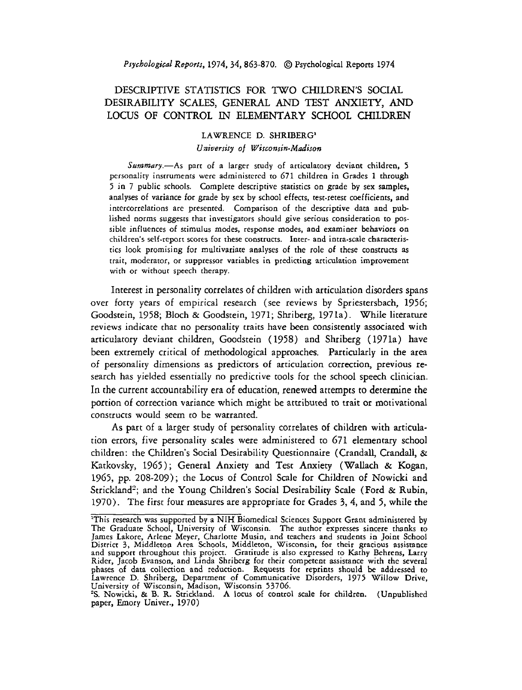# DESCRIPTIVE STATISTICS FOR TWO CHILDREN'S SOCIAL DESIRABILITY SCALES, GENERAL AND TEST **ANXIETY,** AND LOCUS OF CONTROL IN ELEMENTARY SCHOOL CHILDREN

# LAWRENCE D. SHRIBERG' *University of Wisconsin-Madison*

Summary.-As part of a larger study of articulatory deviant children, 5 personality instruments were administered to 671 children in Grades 1 through 5 in 7 public schools. Complete descriptive statistics on grade by sex samples, analyses of variance for grade by sex by school effects, test-retest coefficients, and intercorrelations are presented. Comparison of the descriptive data and pub lished norms suggests that investigators should give serious consideration to possible influences of stimulus modes, response modes, and examiner behaviors on children's self-report scores for these constructs. Inter- and intra-scale characteristics look promising for multivariate analyses of the role of these constructs as trait, moderator, or suppressor variables in predicting articulation improvement with or without speech therapy.

Interest in personality correlates of children with articulation disorders spans over forty years of empirical research (see reviews by Spriestersbach, 1956; Goodstein, 1958; Bloch & Goodstein, 1971; Shriberg, 1971a). While literature reviews indicate that no personalicy traits have been consistently associated with articulatory deviant children, Goodstein ( 1958) and Shriberg ( 1971a) have been extremely critical of methodological approaches. Particularly in the area of personality dimensions as predictors of articulation correction, previous research has yielded essentially no predictive tools for the school speech clinician. In the current accountability era of education, renewed attempts to determine the portion of correction variance which might be attributed to trait or motivational constructs would seem to be warranted.

As part of a larger study of personality correlates of children with articulation errors, five personality scales were administered to 671 elementary school children: the Children's Social Desirability Questionnaire (Crandall, Crandall, & Katkovsky, 1965); General Anxiety and Test Anxiety (Wallach & Kogan, 1965, pp. 208-209); the Locus of Control Scale for Children of Nowicki and Strickland<sup>2</sup>; and the Young Children's Social Desirability Scale (Ford & Rubin, 1970). The first four measures are appropriate for Grades **3,** 4, and 5, while the

<sup>&</sup>lt;sup>1</sup>This research was supported by a NIH Biomedical Sciences Support Grant administered by The Graduate School, University of Wisconsin. The author expresses sincere thanks to James Lakore, Arlene Meyer, Charlotte Musin, and teachers and students in Joint School District 3, Middleton Area Schools, Middleton, Wis phases of data collection and reduction. Requests for reprints should **be** addressed to Lawrence D. Shriberg, Department of Communicative Disorders, 1975 Willow Drive, University of Wisconsin, Madison, Wisconsin 53706. **?S.** Nowicki, & B. R. Stridand. **A** locus of control scale for children. (Unpublished

paper, Emory Univer., 1970)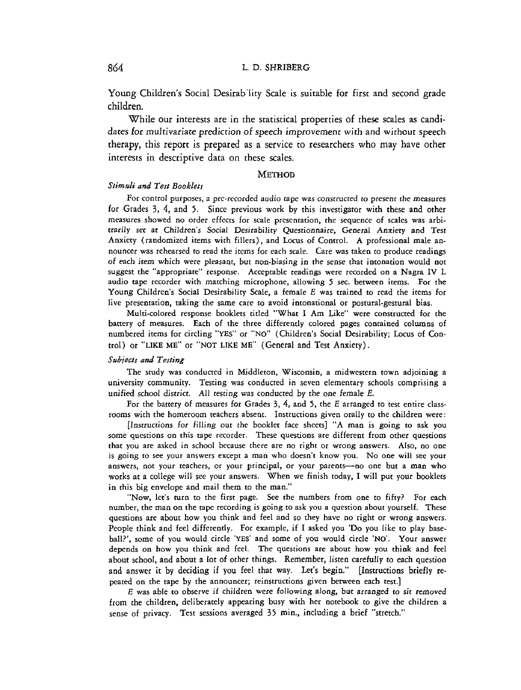Young Children's Social Desirab'lity Scale is suitable for first and second grade children.

While our interests are in the statistical properties of these scales as candidates for multivariate prediction of speech improvement with and without speech therapy, this report is prepared as a service to researchers who may have other interests in descriptive data on these scales.

#### **METHOD**

# *Stimrrli and Test Bookletr*

For control purposes, a pre-recorded audio tape was constructed to present the measures for Grades 3, 4, and 5. Since previous work by this investigator with these and other measures showed no order effects for scale presentation, the sequence of scales was arbitrarily set at Children's Social Desirability Questionnaire, General Anxiety and Test Anxiety (randomized items with fillers), and Locus of Control. A professional male announcer was rehearsed to read the items for each scale. Care was taken to produce readings of each item which were pleasant, but non-biasing in the sense that intonation would not suggest the "appropriate" response. Acceptable readings were recorded on a Nagra IV L audio tape recorder with matching microphone, allowing 5 sec. between items. For the Young Children's Social Desirability Scale, a female E was trained to read the items for live presentation, taking the same care to avoid intonational or postural-gestural bias.

Multi-colored response booklets titled "What I **Am** Like" were constructed for the battery of measures. Each of the three differently colored pages contained columns of numbered items for circling **"YES"** or "NO" (Children's Social Desirability; Locus of Contcol) or **"LIKE** ME" or **"NOT LIKE ME"** (General and Test Anxiety).

#### *Sirbjeccs and Testing*

The study was conducted in Middleton, Wisconsin, a midwestern town adjoining a university community. Testing was conducted in seven elementary schools comprising a unified school district. All testing was conducted by the one female E.

For the battery of measures for Grades **3,** 4, and 5, the E arranged to test entire classrooms with the homeroom teachers absent. Instructions given orally to the children were:

[Instructions for filling out the booklet face sheets] "A man is going to ask you some questions on this tape recorder. These questions are different from other questions that you are asked in school because there are no right or wrong answers. Also, no one is going to see your answers except a man who doesn't know you. No one will see your answers, not your teachers, or your principal, or your parents-no one but a man who works at a college will see your answers. When we finish today, I will put your booklets in this big envelope and mail them to the man."

"Now, let's turn to the first page. See the numbers from one to fifty? For each number, the man on the tape recording is going to ask you a question about yourself. These questions are about how you think and feel and so they have no right or wrong answers. People think and feel differently. For example, if I asked you 'Do you like to play baseball?', some of you would circle 'YES' and some of you would circle 'NO'. Your answer depends on how you think and feel. The questions are about how you think and feel about school, and about a lot of other things. Remember, listen carefully to each question and answer it by deciding if you feel that way. Let's begin." [Instructions briefly repeated on the tape by the announcer; reinstructions given between each test.]

*E* was able to observe if children were following along, but arranged to sit removed from the children, deliberately appearing busy with her notebook to give the children a sense of privacy. Test sessions averaged 35 min., including a brief "stretch."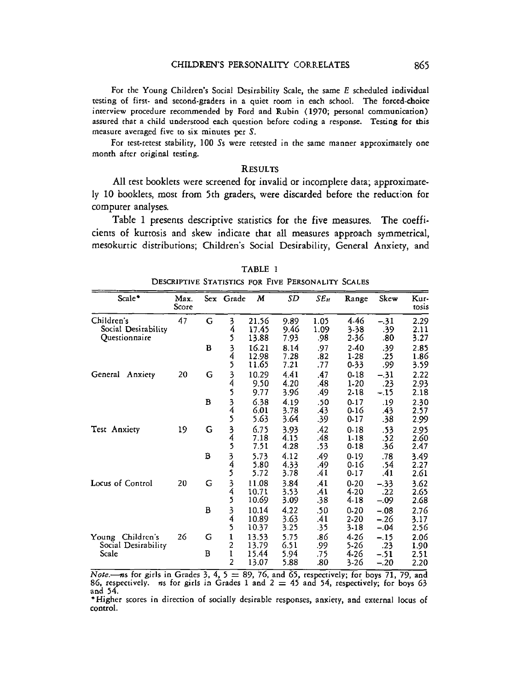For the Young Children's Social Desirability Scale, the same E scheduled individual resting of first- and second-graders in a quiet room in each school. The forced-choice interview procedure recommended by Ford and Rubin **(1970;** personal communication) assured that a child understood each question before coding a response. Tescing for this measure averaged five to six minutes per **S.** 

For test-retest stability, 100 Ss were retested in the same manner approximately one month after original testing.

## **RESULTS**

All test booklets were screened for invalid or incomplete data; approximately 10 booklets, most from 5th graders, were discarded before the reduction for computer analyses.

Table 1 presents descriptive statistics for the five measures. The coefficients of kurtosis and skew indicate that all measures approach symmetrical, mesokurtic distributions; Children's Social Desirability, General Anxiety, and

| Scale*                                           | Max.<br>Score |   | Sex Grade           | М                       | SD                   | SE <sub>M</sub>   | Range                            | Skew                       | Kur-<br>tosis        |
|--------------------------------------------------|---------------|---|---------------------|-------------------------|----------------------|-------------------|----------------------------------|----------------------------|----------------------|
| Children's<br>Social Desirability                | 47            | G | 3<br>4              | 21.56<br>17.45          | 9.89<br>9.46         | 1.05<br>1.09      | 4.46<br>$3 - 38$                 | $-.31$<br>.39              | 2.29<br>2.11         |
| Questionnaire                                    |               | B | 5<br>$\frac{3}{4}$  | 13.88<br>16.21<br>12.98 | 7.93<br>8.14<br>7.28 | .98<br>.97<br>.82 | 2-36<br>2-40<br>$1-28$           | .80<br>.39<br>.25          | 3.27<br>2.85<br>1.86 |
|                                                  |               |   | 5                   | 11.65                   | 7.21                 | .77               | $0 - 33$                         | .99                        | 3.59                 |
| General Anxiety                                  | 20            | G | 3<br>4<br>5         | 10.29<br>9.50<br>9.77   | 4.41<br>4.20<br>3.96 | .47<br>.48<br>.49 | $0 - 18$<br>$1-20$<br>$2 - 18$   | $-.31$<br>.23<br>$-.15$    | 2.22<br>2.93<br>2.18 |
|                                                  |               | в | $\frac{3}{4}$<br>5  | 6.38<br>6.01<br>5.63    | 4.19<br>3.78<br>3.64 | .50<br>.43<br>.39 | $0 - 17$<br>$0 - 16$<br>$0 - 17$ | .19<br>.43<br>.38          | 2.30<br>2.57<br>2.99 |
| Test Anxiety                                     | 19            | G | 3<br>4<br>5         | 6.75<br>7.18<br>7.51    | 3.93<br>4.15<br>4.28 | .42<br>.48<br>.53 | 0.18<br>$1 - 18$<br>$0-18$       | .53<br>.52<br>.36          | 2.95<br>2.60<br>2.47 |
|                                                  |               | B | $\frac{3}{4}$<br>5  | 5.73<br>5.80<br>5.72    | 4.12<br>4.33<br>3.78 | .49<br>.49<br>.41 | 0.19<br>0.16<br>0.17             | .78<br>.54<br>.41          | 3.49<br>2.27<br>2.61 |
| Locus of Control                                 | 20            | G | $\frac{3}{4}$<br>5  | 11.08<br>10.71<br>10.69 | 3.84<br>3.53<br>3.09 | .41<br>.41<br>.38 | $0 - 20$<br>4-20<br>4-18         | $-.33$<br>.22<br>$-.09$    | 3.62<br>2.65<br>2.68 |
|                                                  |               | в | 3<br>4<br>5         | 10.14<br>10.89<br>10.37 | 4.22<br>3.63<br>3.25 | .50<br>.41<br>-35 | $0 - 20$<br>$2 - 20$<br>$3-18$   | $-.08$<br>$-.26$<br>$-.04$ | 2.76<br>3.17<br>2.56 |
| Young Children's<br>Social Desirability<br>Scale | 26            | G | 1<br>$\overline{2}$ | 13.53<br>13.79          | 5.75<br>6.51         | .86<br>.99        | 4.26<br>5-26                     | $-.15$<br>.23              | 2.06<br>1.90         |
|                                                  |               | в | 1<br>2              | 15.44<br>13.07          | 5.94<br>5.88         | .75<br>.80        | 4-26<br>$3 - 26$                 | $-.51$<br>$-.20$           | 2.51<br>2.20         |

TABLE 1 DESCRIPTIVE STATISTICS FOR FIVE PERSONALITY SCALES

**866,** *respectively.* ns for girls in Grades 5, 4,  $\sigma$  = 89, 70, and 65, respectively; for boys 71, 79, and 86, respectively. ns for girls in Grades 1 and 2  $=$  45 and 54, respectively; for boys 63 and **54.** 

\*Higher scores in direction of socially desirable responses, anxiety, and external locus of control.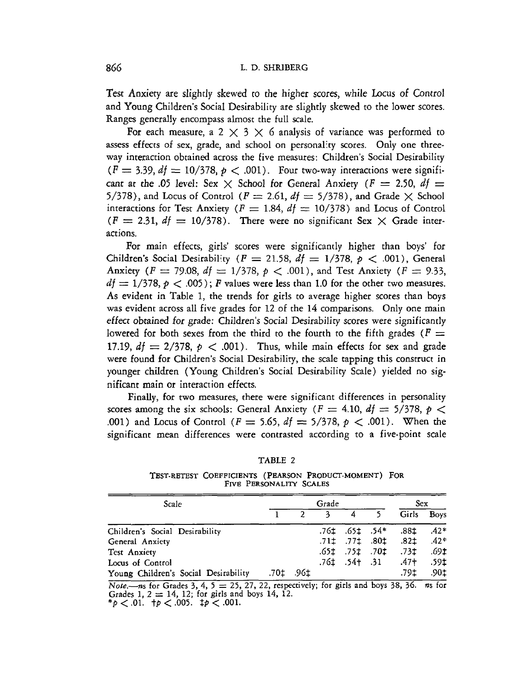Test Anxiety are slightly skewed to the higher scores, while Locus of Control and Young Children's Social Desirability are slightly skewed to the lower scores. Ranges generally encompass almost the full scale.

For each measure, a 2  $\times$  3  $\times$  6 analysis of variance was performed to assess effects of sex, grade, and school on personality scores. Only one threeway interaction obtained across the five measures: Children's Social Desirability  $(F = 3.39, dt = 10/378, p < .001)$ . Four two-way interactions were significant at the .05 level: Sex  $\times$  School for General Anxiety ( $F = 2.50$ ,  $df =$ 5/378), and Locus of Control ( $F = 2.61$ ,  $df = 5/378$ ), and Grade  $\times$  School interactions for Test Anxiety ( $F = 1.84$ ,  $df = 10/378$ ) and Locus of Control  $(F = 2.31, df = 10/378)$ . There were no significant Sex  $\times$  Grade interactions.

For main effects, girls' scores were significantly higher than boys' for Children's Social Desirability  $(F = 21.58, df = 1/378, p < .001)$ , General Anxiety ( $F = 79.08$ ,  $df = 1/378$ ,  $p < .001$ ), and Test Anxiety ( $F = 9.33$ ),  $df = 1/378$ ,  $p < .005$ ); *F* values were less than 1.0 for the other two measures. As evident in Table 1, the trends for girls to average higher scores than boys was evident across all five grades for 12 of the 14 comparisons. Only one main effect obtained for grade: Children's Social Desirability scores were significantly lowered for both sexes from the third to the fourth to the fifth grades ( $F =$ 17.19,  $df = 2/378$ ,  $p < .001$ ). Thus, while main effects for sex and grade were found for Children's Social Desirability, the scale tapping this construct in younger children (Young Children's Social Desirability Scale) yielded no significant main or interaction effects.

Finally, for two measures, there were significant differences in personality scores among the six schools: General Anxiety ( $F = 4.10$ ,  $df = 5/378$ ,  $p <$ .001) and Locus of Control ( $F = 5.65$ ,  $df = 5/378$ ,  $p < .001$ ). When the significant mean differences were contrasted according to a five-point scale

| л. | ABL. |  |
|----|------|--|
|    |      |  |

TEST-RETEST COEFFICIENTS (PEARSON PRODUCT-MOMENT) FOR **FIVE PERSONALITY SCALES** 

| Scale                                | Grade |            |              |                      |                           | <b>Sex</b> |             |
|--------------------------------------|-------|------------|--------------|----------------------|---------------------------|------------|-------------|
|                                      |       |            | $\mathbf{a}$ | $4\overline{4}$      |                           | Girls      | <b>Boys</b> |
| Children's Social Desirability       |       |            |              |                      | .761 .651 .54*            | .88±       | $.42*$      |
| General Anxiety                      |       |            |              |                      | .71‡ .77‡ .80‡            | .82±       | $.42*$      |
| <b>Test Anxiety</b>                  |       |            |              | $.651$ $.751$ $.701$ |                           | .731       | .69±        |
| Locus of Control                     |       |            |              |                      | .761 .54 <del>1</del> .31 | $.47 +$    | .59‡        |
| Young Children's Social Desirability |       | .70‡. .96± |              |                      |                           | .79±       | .90±        |

**Noie.--4s for Grades** 3, **4,** 5 = 25, 27, 22, **respectively; for girls and boys** 38, 36. **ns for**  Note,—ns for Grades 5, 4,  $\beta = 23$ ,  $27$ ,  $22$ , respectionally Grades 1,  $2 = 14$ , 12; for girls and boys 14, 12. Grades 1,  $2 = 14$ , 12, for gives and<br> ${}^{*}p$  < .01.  ${}^{+}p$  < .005.  ${}^{+}p$  < .001.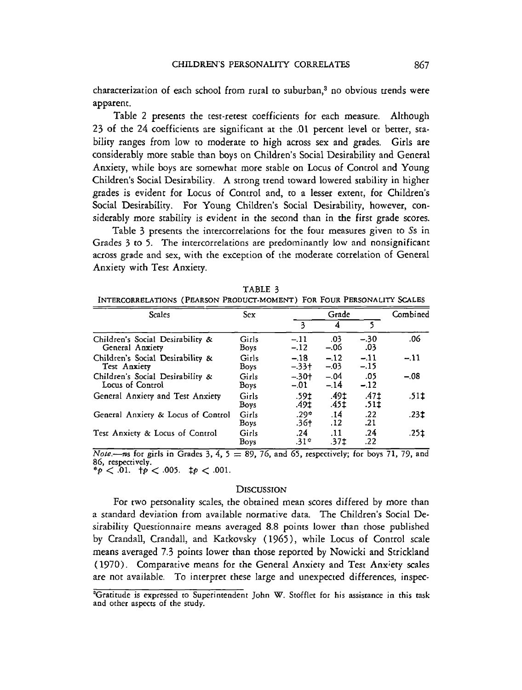characterization of each school from rural to suburban,<sup>3</sup> no obvious trends were apparent.

Table **2** presents the cest-retest coefficients for each measure. Although 23 of the 24 coefficients are significant at the .0l percent level or better, scability ranges from low to moderate to high across sex and grades. Girls are considerably more stable than boys on Children's Social Desirability and General Anxiety, while boys are somewhat more stable on Locus of Control and Young Children's Social Desirability. A strong trend toward lowered stability in higher grades is evident for Locus of Control and, to a lesser extent, for Children's Social Desirability. For Young Children's Social Desirability, however, considerably more stability is evident in the second than in the first grade scores.

Table 3 presents the intercorrelations for the four measures given to Ss in Grades **3** to *5.* The intercorrelations are predominantly low and nonsignificant across grade and sex, with the exception of the moderate correlation of General Anxiety with Test Anxiety.

| `ABL |  |
|------|--|
|      |  |

INTERCORRELATIONS (PEARSON PRODUCT-MOMENT) FOR FOUR PERSONALITY SCALES

| Scales                                               | <b>Sex</b>           |                      | Combined        |                 |        |
|------------------------------------------------------|----------------------|----------------------|-----------------|-----------------|--------|
|                                                      |                      | 3                    | 4               | S.              |        |
| Children's Social Desirability &<br>General Anxiety  | Girls<br><b>Boys</b> | $-.11$<br>$-.12$     | .03<br>$-.06$   | $-.30$<br>.03   | .06    |
| Children's Social Desirability &<br>Test Anxiety     | Girls<br><b>Boys</b> | $-.18$<br>$-33+$     | $-12$<br>$-.03$ | $-11$<br>$-.15$ | $-.11$ |
| Children's Social Desirability &<br>Locus of Control | Girls<br>Boys        | $-.30+$<br>$-.01$    | $-.04$<br>$-14$ | .05<br>$-.12$   | - 08   |
| General Anxiery and Test Anxiety                     | Girls<br>Boys        | .591<br>.491         | .49±<br>.45‡    | .47±<br>.511    | .51‡   |
| General Anxiety & Locus of Control                   | Girls<br>Boys        | $.29*$<br>.36†       | .14<br>.12      | .22<br>.21      | .23‡   |
| Test Anxiety & Locus of Control                      | Girls<br>Boys        | .24<br>$.31^{\circ}$ | .11<br>.37‡     | .24<br>.22      | .25‡   |

Nore.---ns for girls in Grades **3, 4, 5** = **89, 76,** and **65,** respectively; for boys **71, 79,** and **86,** respectively.  $*_{p} < 0.01$ .  $\uparrow p < 0.005$ .  $\uparrow p < 0.01$ .

### **DISCUSSION**

For two personality scales, the obtained mean scores differed by more than a standard deviation from available normative data. The Children's Social Desirability Questionnaire means averaged 8.8 points lower than chose published by Crandall, Crandall, and Katkovsky (1965), while Locus of Control scale means averaged 7.3 points lower than those reported by Nowicki and Strickland ( 1970). Comparative means for the General Anxiety and Test Anxiety scales are not available. To interpret these large and unexpected differences, inspec-

<sup>&</sup>lt;sup>3</sup>Gratitude is expressed to Superintendent John W. Stofflet for his assistance in this task and other aspects of the study.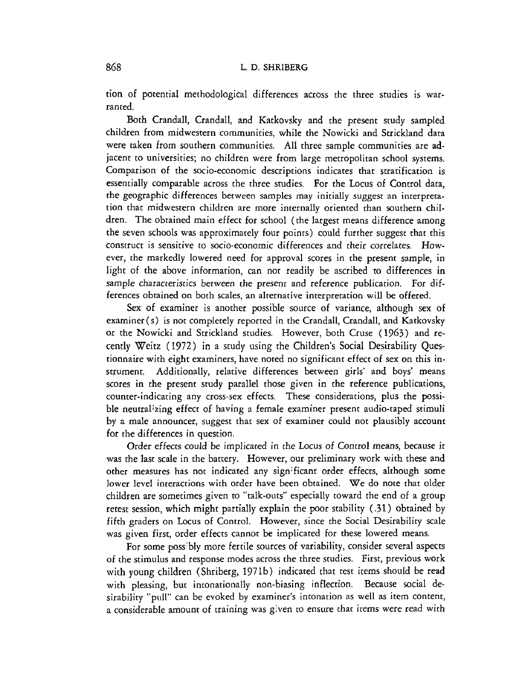tion of potential methodological differences across the three studies is warranted.

Both Crandall, Crandall, and Katkovsky and the present study sampled children from midwestern communities, while the Nowicki and Strickland data were taken from southern communities. All three sample communities are adjacent to universities; no children were from large metropolitan school systems. Comparison of the socio-economic descriptions indicates that stratification is essentially comparable across the chree studies. For the Locus of Control data, the geographic differences between samples may initially suggest an incerpretation thac midwestern children are more internally oriented than southern children. The obtained main effect for school (the largest means difference among the seven schools was approximately four points) could further suggest that this construct is sensitive to socio-economic differences and their correlates. However, the markedly lowered need for approval scores in the present sample, in light of the above information, can not readily be ascribed to differences in sample characteristics between the present and reference publication. For differences obtained on both scales, an alternative interpretation will be offered.

Sex of examiner is another possible source of variance, although sex of examiner (s) is not completely reported in the Crandall, Crandall, and Katkovsky or the Nowicki and Strickland studies. However, both Cruse (1963) and recently Weitz (1972) in a study using the Children's Social Desirability Questionnaire with eight examiners, have noted no significant effect of sex on this instrument. Additionally, relative differences between girls' and boys' means scores in the present study parallel those given in the reference publications, counter-indicating any cross-sex effects. These considerations, plus the possible neutralizing effect of having a female examiner present audio-taped stimuli by a male announcer, suggest that sex of examiner could not plausibly account for the differences in question.

Order effects could be implicated in the Locus of Control means, because it was the last scale in the battery. However, our preliminary work with these and ocher measures has not indicated any significant order effects, although some lower level interactions with order have been obtained. We do note that older children are sometimes given to "talk-outs" especially toward the end of a group retest session, which might partially explain the poor stability (31) obtained by fifth graders on Locus of Control. However, since che Social Desirabiliy scale was given first, order effects cannot be implicated for these lowered means.

For some poss'bly more fertile sources of variability, consider several aspects of the stimulus and response modes across the three studies. First, previous work with young children (Shriberg, 1971b) indicated that test items should be read with pleasing, but intonationally non-biasing inflection. Because social desirability "pull" can be evoked by examiner's intonation as well as item content, a considerable amount of training was given to ensure thac items were read with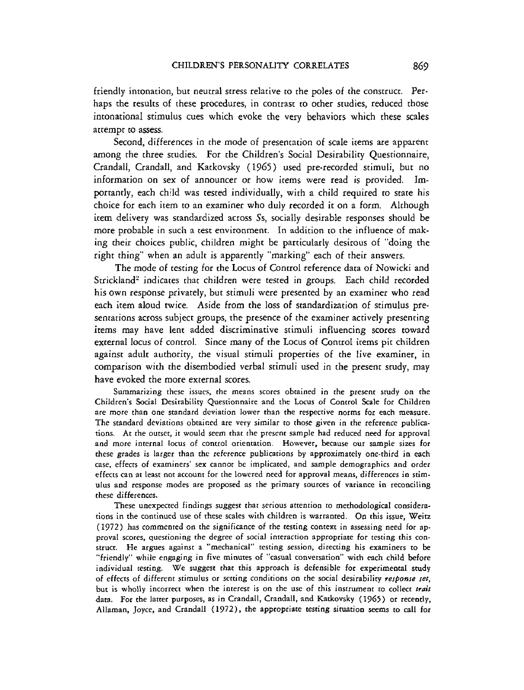friendly intonation, but neutral stress relative to the poles of the construct. Perhaps the results of these procedures, in contrast to other studies, reduced those intonational stimulus cues which evoke the very behaviors which these scales attempt to assess.

Second, differences in the mode of presentation of scale items are apparent among rhe three studies. For the Children's Social Desirability Questionnaire, Crandall, Crandall, and Katkovsky (1965) used pre-recorded stimuli, but no information on sex of announcer or how items were read is provided. Importantly, each child was tested individually, with a child required to state his choice for each item to an examiner who duly recorded it on a form. Although item delivery was standardized across Ss, socially desirable responses should be more probable in such a test environment. In addition to the influence of making their choices public, children might be particularly desirous of "doing the right thing" when an adult is apparently "marking" each of their answers.

The mode of testing for the Locus of Control reference data of Nowicki and Strickland' indicates that children were tesred in groups. Each child recorded his own response privately, but stimuli were presented by an examiner who read each item aloud twice. Aside from the loss of standardization of stimulus presentations across subject groups, the presence of the examiner actively presenting items may have lent added discriminative stimuli influencing scores toward external locus of control. Since many of the Locus of Control items pic children against adult authority, the visual stimuli properties of the live examiner, in comparison with the disembodied verbal stimuli used in the present study, may have evoked the more external scores.

Summarizing these issues, the means scores obtained in the present study on the Children's Social Desirability Questionnaire and the Locus of Control Scale for Children are more than one standard deviation lower than the respective norms for each measure. The standard deviations obtained are very similar to those given in the reference publications. At the outset, it would seem that the present sample had reduced need for approval and more internal locus of control orientation. However, because our sample sizes for these grades is larger than the reference publications by approximately one-third in each case, effects of examiners' sex cannot be implicated, and sample demographics and order effects can at least not account for the lowered need for approval means, differences in stimulus and response modes are proposed as the primary sources of variance in reconciling these differences.

These unexpected findings suggest that serious attention to methodological considerations in the continued use of these scales with children is warranted. On this issue, Weitz (1972) has commented on the significance of the testing context in assessing need for approval scores, questioning the degree of social interaction appropriate for testing this construct. He argues against a "mechanical" testing session, directing his examiners to be "friendly" while engaging in five minutes of "casual conversation'' with each child before individual testing. We suggest that this approach is defensible for experimental study of effects of different stimulus or setting conditions on the social desirability *response set,*  but is wholly incorrect when the interest is on the use of this instrument to collect *trait*  data. For the latter purposes, as in Crandall, Crandall, and Katkovsky (1965) or recently, Allaman, Joyce, and Crandall **(1972),** the appropriate testing situation seems to call for